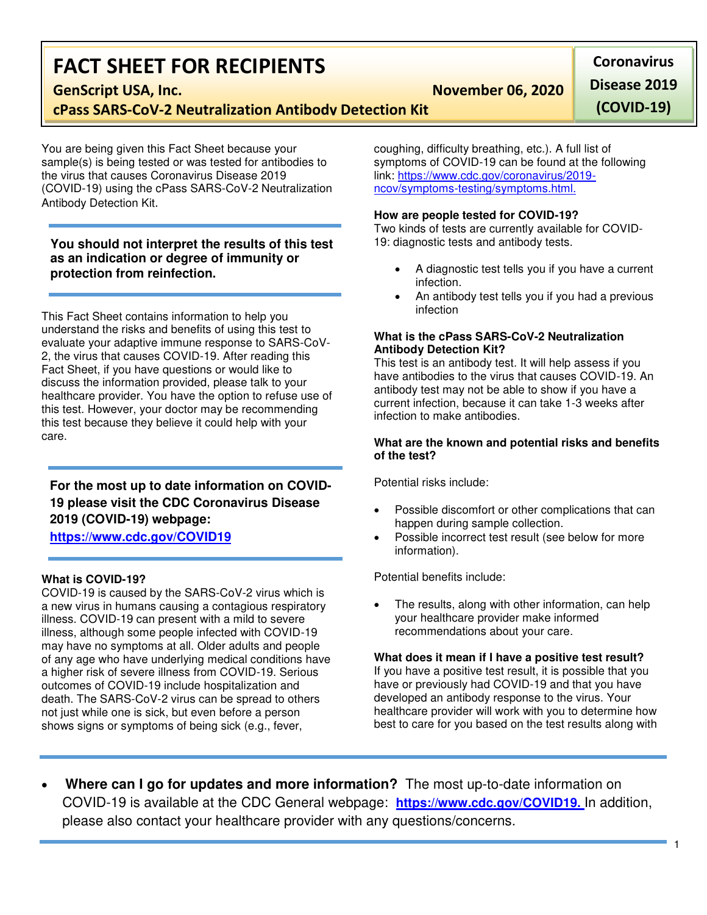# **FACT SHEET FOR RECIPIENTS**

**GenScript USA, Inc.** November 06, 2020

**cPass SARS-CoV-2 Neutralization Antibody Detection Kit**

You are being given this Fact Sheet because your sample(s) is being tested or was tested for antibodies to the virus that causes Coronavirus Disease 2019 (COVID-19) using the cPass SARS-CoV-2 Neutralization Antibody Detection Kit.

## **You should not interpret the results of this test as an indication or degree of immunity or protection from reinfection.**

This Fact Sheet contains information to help you understand the risks and benefits of using this test to evaluate your adaptive immune response to SARS-CoV-2, the virus that causes COVID-19. After reading this Fact Sheet, if you have questions or would like to discuss the information provided, please talk to your healthcare provider. You have the option to refuse use of this test. However, your doctor may be recommending this test because they believe it could help with your care.

# **For the most up to date information on COVID-19 please visit the CDC Coronavirus Disease 2019 (COVID-19) webpage: [https://www.cdc.gov/COVID19](https://www.cdc.gov/nCoV)**

## **What is COVID-19?**

COVID-19 is caused by the SARS-CoV-2 virus which is a new virus in humans causing a contagious respiratory illness. COVID-19 can present with a mild to severe illness, although some people infected with COVID-19 may have no symptoms at all. Older adults and people of any age who have underlying medical conditions have a higher risk of severe illness from COVID-19. Serious outcomes of COVID-19 include hospitalization and death. The SARS-CoV-2 virus can be spread to others not just while one is sick, but even before a person shows signs or symptoms of being sick (e.g., fever,

coughing, difficulty breathing, etc.). A full list of symptoms of COVID-19 can be found at the following link: [https://www.cdc.gov/coronavirus/2019](https://www.cdc.gov/coronavirus/2019-ncov/symptoms-testing/symptoms.html) [ncov/symptoms-testing/symptoms.html.](https://www.cdc.gov/coronavirus/2019-ncov/symptoms-testing/symptoms.html)

#### **How are people tested for COVID-19?**

Two kinds of tests are currently available for COVID-19: diagnostic tests and antibody tests.

- A diagnostic test tells you if you have a current infection.
- An antibody test tells you if you had a previous infection

#### **What is the cPass SARS-CoV-2 Neutralization Antibody Detection Kit?**

This test is an antibody test. It will help assess if you have antibodies to the virus that causes COVID-19. An antibody test may not be able to show if you have a current infection, because it can take 1-3 weeks after infection to make antibodies.

#### **What are the known and potential risks and benefits of the test?**

Potential risks include:

- Possible discomfort or other complications that can happen during sample collection.
- Possible incorrect test result (see below for more information).

Potential benefits include:

 The results, along with other information, can help your healthcare provider make informed recommendations about your care.

#### **What does it mean if I have a positive test result?**

If you have a positive test result, it is possible that you have or previously had COVID-19 and that you have developed an antibody response to the virus. Your healthcare provider will work with you to determine how best to care for you based on the test results along with

1

 **Where can I go for updates and more information?** The most up-to-date information on COVID-19 is available at the CDC General webpage: **[https://www.cdc.gov/COVID19.](https://www.cdc.gov/nCoV)** In addition, please also contact your healthcare provider with any questions/concerns.

**Coronavirus Disease 2019** 

**(COVID-19)**